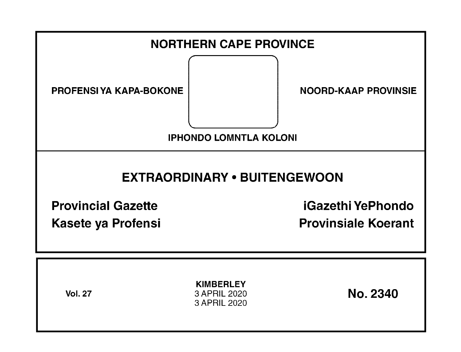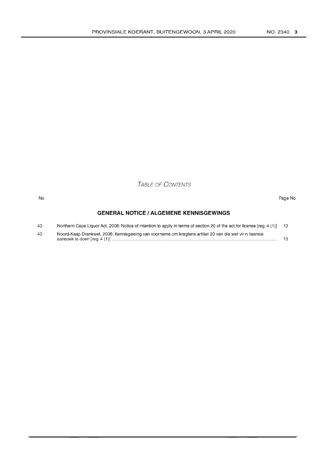TABLE OF CONTENTS

#### No Page No

# **GENERAL NOTICE I ALGEMENE KENNISGEWINGS**

| 43 | Northern Cape Liquor Act, 2008: Notice of intention to apply in terms of section 20 of the act for license [reg. 4 (1)] 13 |  |
|----|----------------------------------------------------------------------------------------------------------------------------|--|
| 43 | Noord-Kaap Drankwet, 2008: Kennisgewing van voorneme om kragtens artikel 20 van die wet vir n lisensie                     |  |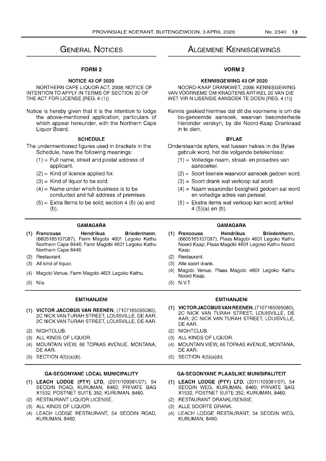# **GENERAL NOTICES**

# FORM 2

# **NOTICE 43 OF 2020**

NORTHERN CAPE LIQUOR ACT, 2008: NOTICE OF INTENTION TO APPLY IN TERMS OF SECTION 20 OF THE ACT FOR LICENSE [REG. 4 (1)]

Notice is hereby given that it is the intention to lodge the above-mentioned application, particulars of which appear hereunder, with the Northern Cape Liquor Board.

# **SCHEDULE**

The undermentioned figures used in brackets in the Schedule, have the following meanings:

- $(1)$  = Full name, street and postal address of applicant.
- $(2)$  = Kind of licence applied for.
- $(3)$  = Kind of liquor to be sold.
- $(4)$  = Name under which business is to be conducted and full address of premises.
- $(5)$  = Extra Items to be sold; section 4 (5) (a) and (b).

## **GAMAGARA**

- (1) **Francousa Hendrikus Briedenhann,**  (6605165107087), Farm Magobi 4601 Legoko Kathu Northern Cape 8446; Farm Magobi 4601 Legoko Kathu Northern Cape 8446.
- (2) Restaurant.
- (3) All kind of liquor.
- (4) Magobi Venue, Farm Magobi 4601 Legoko Kathu.
- (5) N/a.

#### **EMTHANJENI**

- **(1) VICTOR JACOBUS VAN REENEN,** (7107165095080), 2C NICK VAN TURAH STREET, LOUISVILLE, DE AAR; 2C NICK VAN TURAH STREET, LOUISVILLE, DE AAR.
- (2) NIGHTCLUB.
- (3) ALL KINDS OF LIQUOR.
- (4) MOUNTAIN VIEW, 66 TOPAAS AVENUE, MONTANA, DE AAR.
- (5) SECTION 4(5)(a)(b).

# **GA-SEGONYANE LOCAL MUNICIPALITY**

- **(1) LEACH LODGE (PTY) LTD,** (2011/109381/07), 54 SEODIN ROAD, KURUMAN, 8460; PRIVATE BAG X1532, POSTNET SUITE 352, KURUMAN, 8460.
- (2) RESTAURANT LIQUOR LICENSE.
- (3) ALL KINDS OF LIQUOR.
- (4) LEACH LODGE RESTAURANT, 54 SEODIN ROAD, KURUMAN, 8460.

# **ALGEMENE KENNISGEWINGS**

# **VORM2**

#### **KENNISGEWING 43 OF 2020**

NOORD-KAAP DRANKWET, 2008: KENNISGEWING VAN VOORNEME OM KRAGTENS ARTIKEL 20 VAN DIE WET VIR N LlSENSIE AANSOEK TE DOEN [REG. 4 (1)]

Kennis geskied hiermee dat dit die voorneme is om die bo-genoemde aansoek, waarvan besonderhede hieronder verskyn, by die Noord-Kaap Drankraad in te dien.

#### **BYLAE**

- Onderstaande syfers, wat tussen hakies in die Bylae gebruik word, het die volgende betekenisse:
	- (1) = Volledige naam, straat- en posadres van aansoeker.
	- (2) = Soort lisensie waarvoor aansoek gedoen word.
	- (3) = Soort drank wat verkoop sal word.
	- (4) = Naam waaronder besigheid gedoen sal word en volledige adres van perseel.
	- (5) = Ekstra items wat verkoop kan word; artikel 4 (5)(a) en (b).

#### **GAMAGARA**

- (1) **Francousa Hendrikus Briedenhann,**  (6605165107087), Plaas Magobi 4601 Legoko Kathu Noord Kaap; Plaas Magobi 4601 Legoko Kathu Noord Kaap.
- (2) Restaurant.
- (3) Aile soort drank.
- (4) Magobi Venue, Plaas Magobi 4601 Legoko Kathu Noord Kaap.
- $(5)$  N.V.T.

# **EMTHANJENI**

- **(1) VICTOR JACOBUSVAN REENEN,** (7107165095080), 2C NICK VAN TURAH STREET, LOUISVILLE, DE AAR; 2C NICK VAN TURAH STREET, LOUISVILLE, DE AAR.
- (2) NIGHTCLUB.
- (3) ALL KINDS OF LIQUOR.
- (4) MOUNTAIN VIEW, 66 TOPAAS AVENUE, MONTANA, DE AAR.
- (5) SECTION 4(5)(a)(b).

# **GA-SEGONYANE PLAASLIKE MUNISIPALITEIT**

- **(1) LEACH LODGE (PTY) LTD,** (2011/109381/07), 54 SEODIN WEG, KURUMAN, 8460; PRIVATE BAG X1532, POSTNET SUITE 352, KURUMAN, 8460.
- (2) RESTAURANT DRANKLISENSIE.
- (3) ALLE SOORTE DRANK.
- (4) LEACH LODGE RESTAURANT, 54 SEODIN WEG, KURUMAN, 8460.